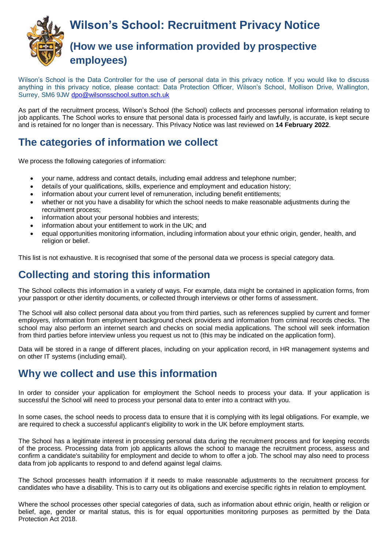

Wilson's School is the Data Controller for the use of personal data in this privacy notice. If you would like to discuss anything in this privacy notice, please contact: Data Protection Officer, Wilson's School, Mollison Drive, Wallington, Surrey, SM6 9JW [dpo@wilsonsschool.sutton.sch.uk](mailto:dpo@wilsonsschool.sutton.sch.uk)

As part of the recruitment process, Wilson's School (the School) collects and processes personal information relating to job applicants. The School works to ensure that personal data is processed fairly and lawfully, is accurate, is kept secure and is retained for no longer than is necessary. This Privacy Notice was last reviewed on **14 February 2022**.

## **The categories of information we collect**

We process the following categories of information:

- your name, address and contact details, including email address and telephone number;
- details of your qualifications, skills, experience and employment and education history;
- information about your current level of remuneration, including benefit entitlements;
- whether or not you have a disability for which the school needs to make reasonable adjustments during the recruitment process;
- information about your personal hobbies and interests;
- information about your entitlement to work in the UK; and
- equal opportunities monitoring information, including information about your ethnic origin, gender, health, and religion or belief.

This list is not exhaustive. It is recognised that some of the personal data we process is special category data.

### **Collecting and storing this information**

The School collects this information in a variety of ways. For example, data might be contained in application forms, from your passport or other identity documents, or collected through interviews or other forms of assessment.

The School will also collect personal data about you from third parties, such as references supplied by current and former employers, information from employment background check providers and information from criminal records checks. The school may also perform an internet search and checks on social media applications. The school will seek information from third parties before interview unless you request us not to (this may be indicated on the application form).

Data will be stored in a range of different places, including on your application record, in HR management systems and on other IT systems (including email).

#### **Why we collect and use this information**

In order to consider your application for employment the School needs to process your data. If your application is successful the School will need to process your personal data to enter into a contract with you.

In some cases, the school needs to process data to ensure that it is complying with its legal obligations. For example, we are required to check a successful applicant's eligibility to work in the UK before employment starts.

The School has a legitimate interest in processing personal data during the recruitment process and for keeping records of the process. Processing data from job applicants allows the school to manage the recruitment process, assess and confirm a candidate's suitability for employment and decide to whom to offer a job. The school may also need to process data from job applicants to respond to and defend against legal claims.

The School processes health information if it needs to make reasonable adjustments to the recruitment process for candidates who have a disability. This is to carry out its obligations and exercise specific rights in relation to employment.

Where the school processes other special categories of data, such as information about ethnic origin, health or religion or belief, age, gender or marital status, this is for equal opportunities monitoring purposes as permitted by the Data Protection Act 2018.